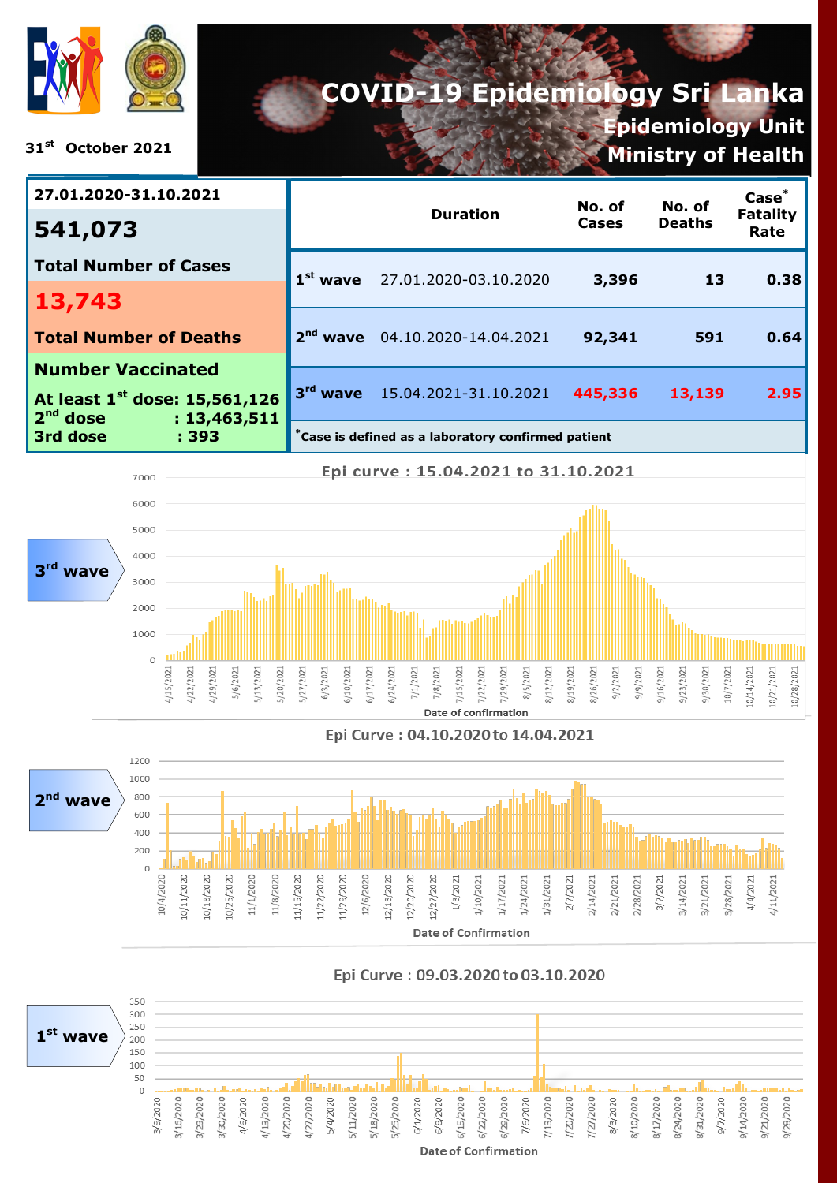

**31st October 2021**

# **COVID-19 Epidemiology Sri Lanka Epidemiology Unit Ministry of Health**

| 27.01.2020-31.10.2021                                                   |                                                              |                                  |         | No. of        | $Case*$                 |  |  |
|-------------------------------------------------------------------------|--------------------------------------------------------------|----------------------------------|---------|---------------|-------------------------|--|--|
| 541,073                                                                 |                                                              | <b>Duration</b>                  | Cases   | <b>Deaths</b> | <b>Fatality</b><br>Rate |  |  |
| <b>Total Number of Cases</b>                                            |                                                              | $1st$ wave 27.01.2020-03.10.2020 | 3,396   | 13            | 0.38                    |  |  |
| 13,743                                                                  |                                                              |                                  |         |               |                         |  |  |
| <b>Total Number of Deaths</b>                                           |                                                              | wave 04.10.2020-14.04.2021       | 92,341  | 591           | 0.64                    |  |  |
| <b>Number Vaccinated</b>                                                |                                                              |                                  |         |               |                         |  |  |
| At least 1 <sup>st</sup> dose: 15,561,126<br>$2nd$ dose<br>: 13,463,511 |                                                              | 3rd wave 15.04.2021-31.10.2021   | 445,336 | 13,139        | 2.95                    |  |  |
| 3rd dose<br>: 393                                                       | $\check{}$ Case is defined as a laboratory confirmed patient |                                  |         |               |                         |  |  |



#### Epi Curve: 04.10.2020 to 14.04.2021



#### Epi Curve: 09.03.2020 to 03.10.2020